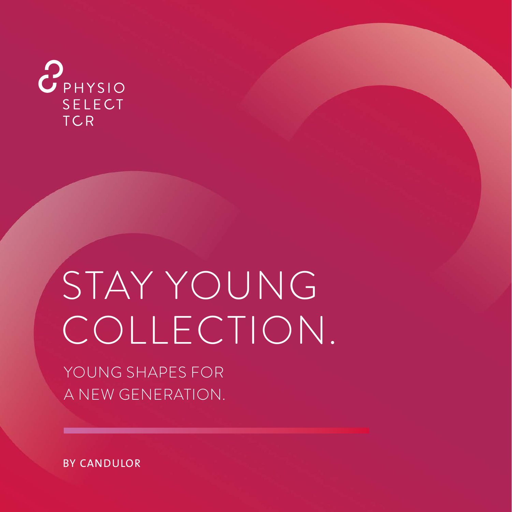

# STAY YOUNG COLLECTION.

YOUNG SHAPES FOR A NEW GENERATION.

BY CANDULOR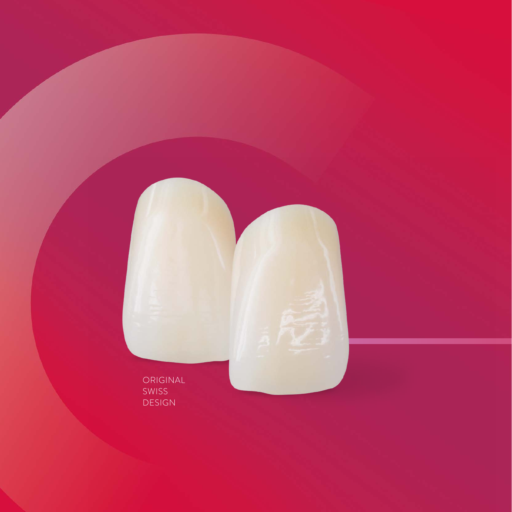ORIGINAL SWISS DESIGN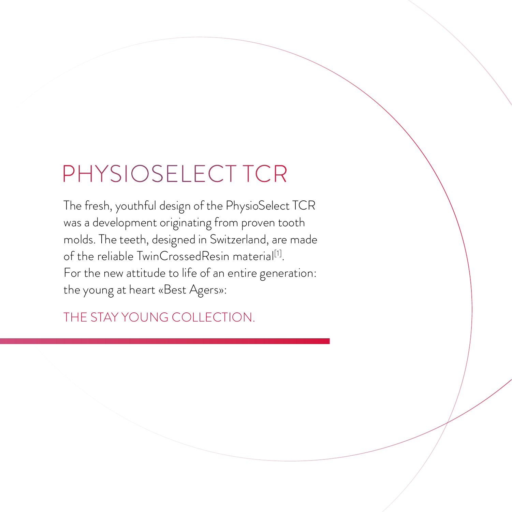### PHYSIOSELECT TCR

The fresh, youthful design of the PhysioSelect TCR was a development originating from proven tooth molds. The teeth, designed in Switzerland, are made of the reliable TwinCrossedResin material<sup>[1]</sup>. For the new attitude to life of an entire generation: the young at heart «Best Agers»:

THE STAY YOUNG COLLECTION.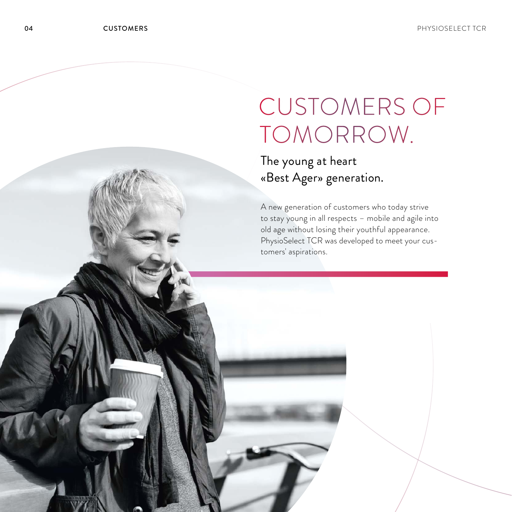## CUSTOMERS OF TOMORROW.

The young at heart «Best Ager» generation.

A new generation of customers who today strive to stay young in all respects – mobile and agile into old age without losing their youthful appearance. PhysioSelect TCR was developed to meet your customers' aspirations.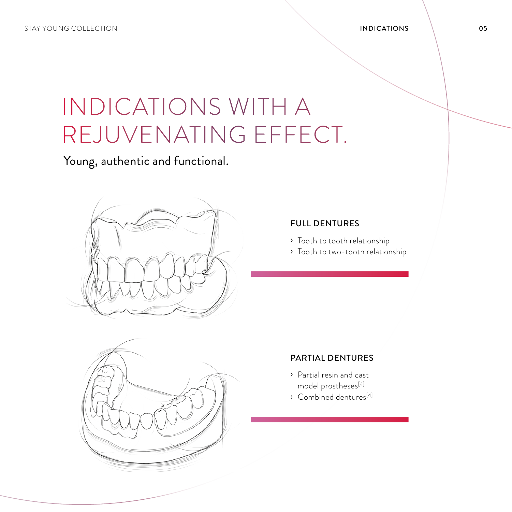### INDICATIONS WITH A REJUVENATING EFFECT.

Young, authentic and functional.



#### FULL DENTURES

- › Tooth to tooth relationship
- › Tooth to two-tooth relationship



#### PARTIAL DENTURES

- › Partial resin and cast model prostheses[4]
- $\rightarrow$  Combined dentures<sup>[4]</sup>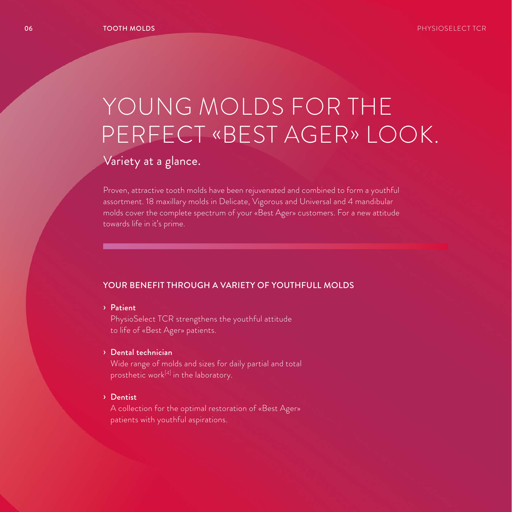### YOUNG MOLDS FOR THE PERFECT «BEST AGER» LOOK.

### Variety at a glance.

Proven, attractive tooth molds have been rejuvenated and combined to form a youthful assortment. 18 maxillary molds in Delicate, Vigorous and Universal and 4 mandibular molds cover the complete spectrum of your «Best Ager» customers. For a new attitude towards life in it's prime.

#### YOUR BENEFIT THROUGH A VARIETY OF YOUTHFULL MOLDS

#### › Patient

PhysioSelect TCR strengthens the youthful attitude to life of «Best Ager» patients.

#### › Dental technician

Wide range of molds and sizes for daily partial and total prosthetic work<sup>[4]</sup> in the laboratory.

#### › Dentist

A collection for the optimal restoration of «Best Ager» patients with youthful aspirations.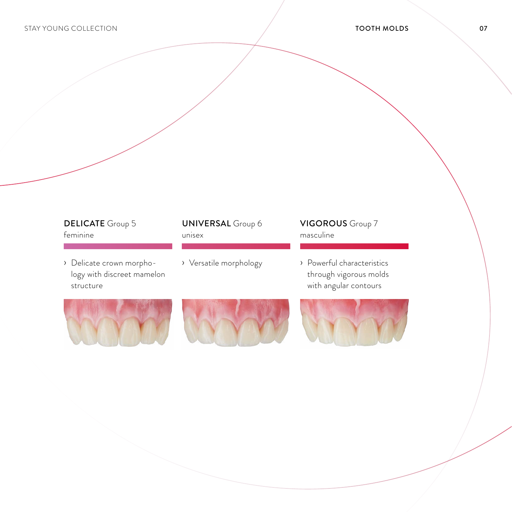#### DELICATE Group 5

› Delicate crown morphology with discreet mamelon structure

#### feminine unisex masculine UNIVERSAL Group 6

› Versatile morphology

### VIGOROUS Group 7

› Powerful characteristics through vigorous molds with angular contours



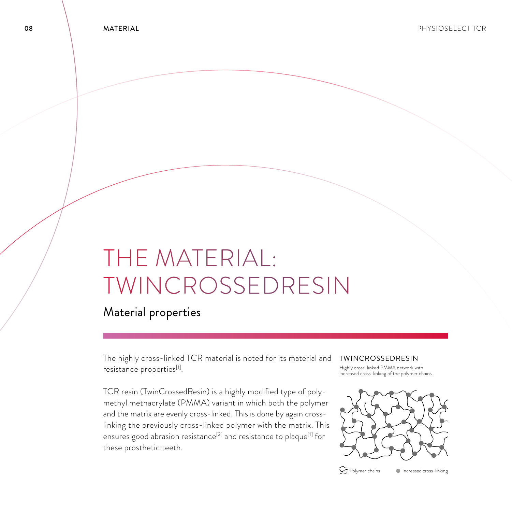### THE MATERIAL: TWINCROSSEDRESIN

Material properties

The highly cross-linked TCR material is noted for its material and TWINCROSSEDRESIN resistance properties[1].

TCR resin (TwinCrossedResin) is a highly modified type of polymethyl methacrylate (PMMA) variant in which both the polymer and the matrix are evenly cross-linked. This is done by again crosslinking the previously cross-linked polymer with the matrix. This ensures good abrasion resistance<sup>[2]</sup> and resistance to plaque<sup>[1]</sup> for these prosthetic teeth.

Highly cross-linked PMMA network with increased cross-linking of the polymer chains.



 $\sum$  Polymer chains  $\sum$  Increased cross-linking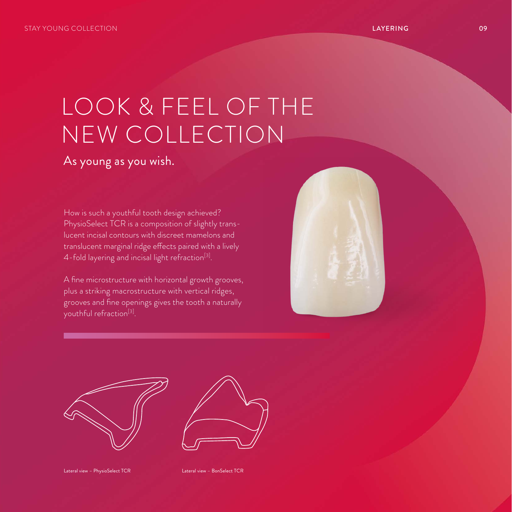### LOOK & FEEL OF THE NEW COLLECTION

As young as you wish.

How is such a youthful tooth design achieved? PhysioSelect TCR is a composition of slightly translucent incisal contours with discreet mamelons and translucent marginal ridge effects paired with a lively 4-fold layering and incisal light refraction $^{\text{\tiny{[3]}}}$ .

A fine microstructure with horizontal growth grooves, plus a striking macrostructure with vertical ridges, grooves and fine openings gives the tooth a naturally youthful refraction<sup>[3]</sup>.





Lateral view – PhysioSelect TCR Lateral view – BonSelect TCR

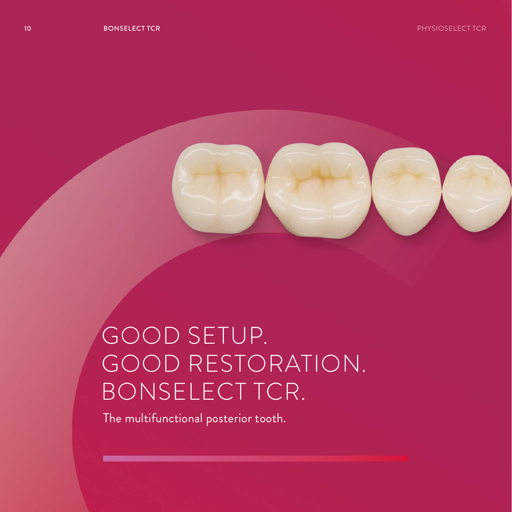

## GOOD SETUP. GOOD RESTORATION. BONSELECT TCR.

The multifunctional posterior tooth.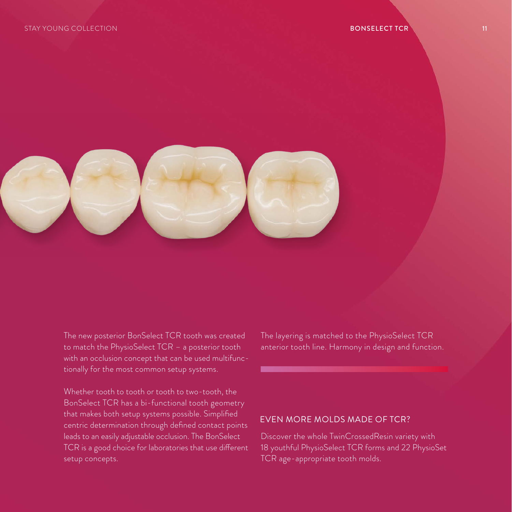

The new posterior BonSelect TCR tooth was created to match the PhysioSelect TCR – a posterior tooth with an occlusion concept that can be used multifunctionally for the most common setup systems.

Whether tooth to tooth or tooth to two-tooth, the BonSelect TCR has a bi-functional tooth geometry that makes both setup systems possible. Simplified centric determination through defined contact points leads to an easily adjustable occlusion. The BonSelect TCR is a good choice for laboratories that use different setup concepts.

The layering is matched to the PhysioSelect TCR anterior tooth line. Harmony in design and function.

#### EVEN MORE MOLDS MADE OF TCR?

Discover the whole TwinCrossedResin variety with 18 youthful PhysioSelect TCR forms and 22 PhysioSet TCR age-appropriate tooth molds.